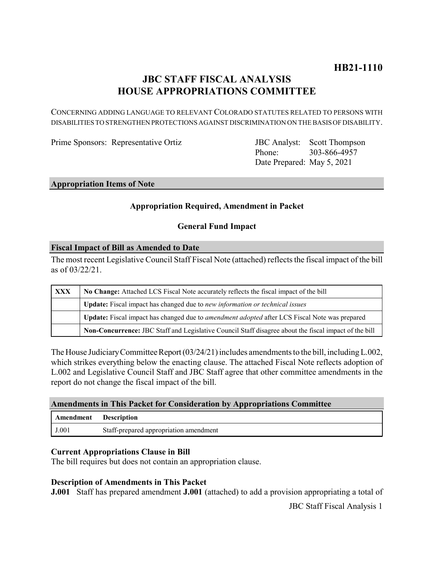# **JBC STAFF FISCAL ANALYSIS HOUSE APPROPRIATIONS COMMITTEE**

CONCERNING ADDING LANGUAGE TO RELEVANT COLORADO STATUTES RELATED TO PERSONS WITH DISABILITIES TO STRENGTHEN PROTECTIONS AGAINST DISCRIMINATION ON THE BASIS OF DISABILITY.

Prime Sponsors: Representative Ortiz

Phone: Date Prepared: May 5, 2021 **JBC** Analyst: Scott Thompson 303-866-4957

#### **Appropriation Items of Note**

# **Appropriation Required, Amendment in Packet**

# **General Fund Impact**

### **Fiscal Impact of Bill as Amended to Date**

The most recent Legislative Council Staff Fiscal Note (attached) reflects the fiscal impact of the bill as of 03/22/21.

| XXX | No Change: Attached LCS Fiscal Note accurately reflects the fiscal impact of the bill                 |
|-----|-------------------------------------------------------------------------------------------------------|
|     | <b>Update:</b> Fiscal impact has changed due to new information or technical issues                   |
|     | Update: Fiscal impact has changed due to <i>amendment adopted</i> after LCS Fiscal Note was prepared  |
|     | Non-Concurrence: JBC Staff and Legislative Council Staff disagree about the fiscal impact of the bill |

The House Judiciary Committee Report (03/24/21) includes amendments to the bill, including L.002, which strikes everything below the enacting clause. The attached Fiscal Note reflects adoption of L.002 and Legislative Council Staff and JBC Staff agree that other committee amendments in the report do not change the fiscal impact of the bill.

### **Amendments in This Packet for Consideration by Appropriations Committee**

| Amendment | <b>Description</b>                     |
|-----------|----------------------------------------|
| J.001     | Staff-prepared appropriation amendment |

### **Current Appropriations Clause in Bill**

The bill requires but does not contain an appropriation clause.

### **Description of Amendments in This Packet**

**J.001** Staff has prepared amendment **J.001** (attached) to add a provision appropriating a total of

JBC Staff Fiscal Analysis 1